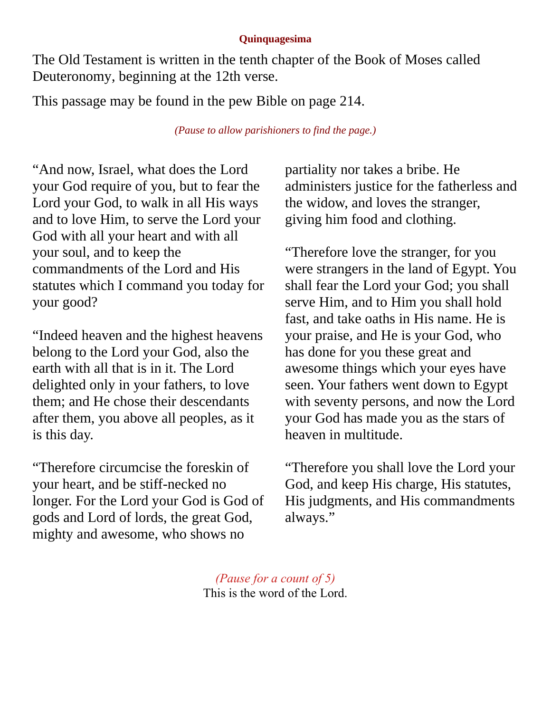## **Quinquagesima**

The Old Testament is written in the tenth chapter of the Book of Moses called Deuteronomy, beginning at the 12th verse.

This passage may be found in the pew Bible on page 214.

*(Pause to allow parishioners to find the page.)*

"And now, Israel, what does the Lord your God require of you, but to fear the Lord your God, to walk in all His ways and to love Him, to serve the Lord your God with all your heart and with all your soul, and to keep the commandments of the Lord and His statutes which I command you today for your good?

"Indeed heaven and the highest heavens belong to the Lord your God, also the earth with all that is in it. The Lord delighted only in your fathers, to love them; and He chose their descendants after them, you above all peoples, as it is this day.

"Therefore circumcise the foreskin of your heart, and be stiff-necked no longer. For the Lord your God is God of gods and Lord of lords, the great God, mighty and awesome, who shows no

partiality nor takes a bribe. He administers justice for the fatherless and the widow, and loves the stranger, giving him food and clothing.

"Therefore love the stranger, for you were strangers in the land of Egypt. You shall fear the Lord your God; you shall serve Him, and to Him you shall hold fast, and take oaths in His name. He is your praise, and He is your God, who has done for you these great and awesome things which your eyes have seen. Your fathers went down to Egypt with seventy persons, and now the Lord your God has made you as the stars of heaven in multitude.

"Therefore you shall love the Lord your God, and keep His charge, His statutes, His judgments, and His commandments always."

*(Pause for a count of 5)* This is the word of the Lord.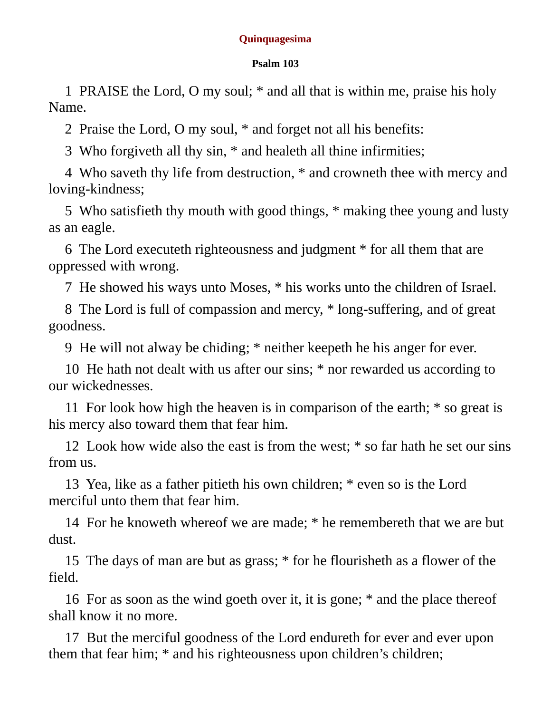## **Quinquagesima**

## **Psalm 103**

1 PRAISE the Lord, O my soul; \* and all that is within me, praise his holy Name.

2 Praise the Lord, O my soul, \* and forget not all his benefits:

3 Who forgiveth all thy sin, \* and healeth all thine infirmities;

4 Who saveth thy life from destruction, \* and crowneth thee with mercy and loving-kindness;

5 Who satisfieth thy mouth with good things, \* making thee young and lusty as an eagle.

6 The Lord executeth righteousness and judgment \* for all them that are oppressed with wrong.

7 He showed his ways unto Moses, \* his works unto the children of Israel.

8 The Lord is full of compassion and mercy, \* long-suffering, and of great goodness.

9 He will not alway be chiding; \* neither keepeth he his anger for ever.

10 He hath not dealt with us after our sins; \* nor rewarded us according to our wickednesses.

11 For look how high the heaven is in comparison of the earth; \* so great is his mercy also toward them that fear him.

12 Look how wide also the east is from the west; \* so far hath he set our sins from us.

13 Yea, like as a father pitieth his own children; \* even so is the Lord merciful unto them that fear him.

14 For he knoweth whereof we are made; \* he remembereth that we are but dust.

15 The days of man are but as grass; \* for he flourisheth as a flower of the field.

16 For as soon as the wind goeth over it, it is gone; \* and the place thereof shall know it no more.

17 But the merciful goodness of the Lord endureth for ever and ever upon them that fear him; \* and his righteousness upon children's children;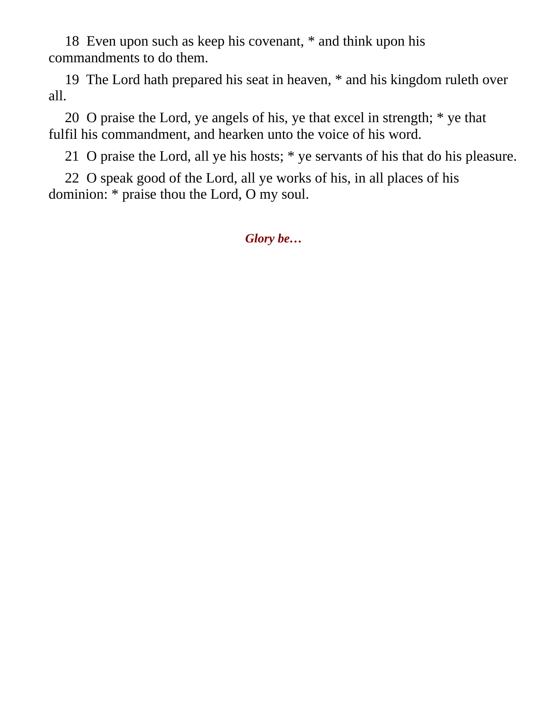18 Even upon such as keep his covenant, \* and think upon his commandments to do them.

19 The Lord hath prepared his seat in heaven, \* and his kingdom ruleth over all.

20 O praise the Lord, ye angels of his, ye that excel in strength; \* ye that fulfil his commandment, and hearken unto the voice of his word.

21 O praise the Lord, all ye his hosts; \* ye servants of his that do his pleasure.

22 O speak good of the Lord, all ye works of his, in all places of his dominion: \* praise thou the Lord, O my soul.

*Glory be…*